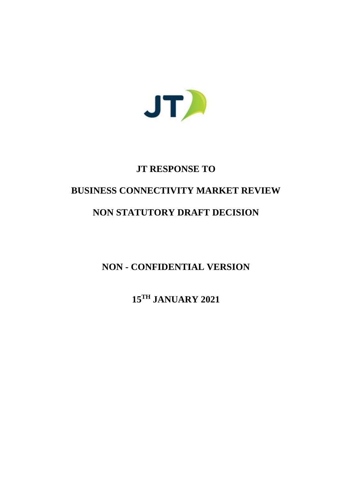

# **JT RESPONSE TO**

# **BUSINESS CONNECTIVITY MARKET REVIEW**

# **NON STATUTORY DRAFT DECISION**

**NON - CONFIDENTIAL VERSION**

**15TH JANUARY 2021**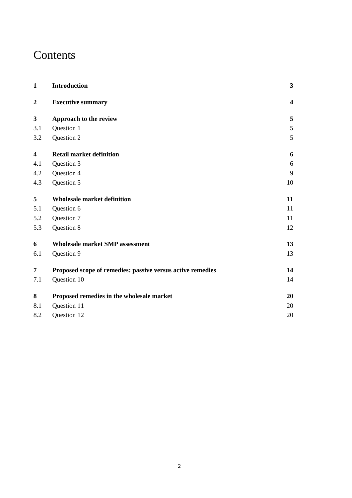# **Contents**

| $\mathbf{1}$            | Introduction                                               | $\mathbf{3}$            |
|-------------------------|------------------------------------------------------------|-------------------------|
| $\boldsymbol{2}$        | <b>Executive summary</b>                                   | $\overline{\mathbf{4}}$ |
| $\mathbf{3}$            | Approach to the review                                     | 5                       |
| 3.1                     | Question 1                                                 | 5                       |
| 3.2                     | Question 2                                                 | 5                       |
| $\overline{\mathbf{4}}$ | <b>Retail market definition</b>                            | 6                       |
| 4.1                     | Question 3                                                 | 6                       |
| 4.2                     | Question 4                                                 | 9                       |
| 4.3                     | Question 5                                                 | 10                      |
| 5                       | <b>Wholesale market definition</b>                         | 11                      |
| 5.1                     | Question 6                                                 | 11                      |
| 5.2                     | Question 7                                                 | 11                      |
| 5.3                     | Question 8                                                 | 12                      |
| 6                       | <b>Wholesale market SMP assessment</b>                     | 13                      |
| 6.1                     | Question 9                                                 | 13                      |
| $\overline{7}$          | Proposed scope of remedies: passive versus active remedies | 14                      |
| 7.1                     | Question 10                                                | 14                      |
| 8                       | Proposed remedies in the wholesale market                  | 20                      |
| 8.1                     | Question 11                                                | 20                      |
| 8.2                     | Question 12                                                | 20                      |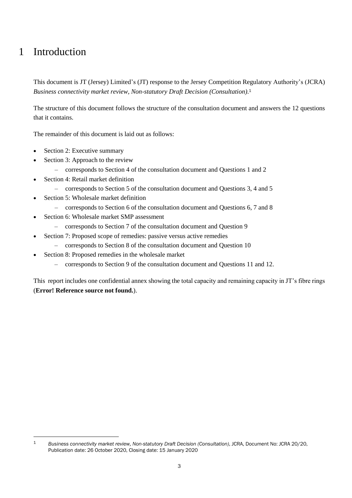# 1 Introduction

1

This document is JT (Jersey) Limited's (JT) response to the Jersey Competition Regulatory Authority's (JCRA) *Business connectivity market review, Non-statutory Draft Decision (Consultation)*. 1

The structure of this document follows the structure of the consultation document and answers the 12 questions that it contains.

The remainder of this document is laid out as follows:

- Section [2: Executive summary](#page-3-0)
- Section [3: Approach to the review](#page-4-0)
	- corresponds to Section 4 of the consultation document and Questions 1 and 2
- Section [4: Retail market definition](#page-5-0)
	- corresponds to Section 5 of the consultation document and Questions 3, 4 and 5
- Section [5: Wholesale market definition](#page-10-0)
	- corresponds to Section 6 of the consultation document and Questions 6, 7 and 8
- Section [6: Wholesale market SMP assessment](#page-12-0)
	- corresponds to Section 7 of the consultation document and Question 9
- Section [7: Proposed scope of remedies: passive versus](#page-13-0) active remedies
	- corresponds to Section 8 of the consultation document and Question 10
- Section [8:](#page-19-0) [Proposed remedies in the wholesale market](#page-19-0)
	- corresponds to Section 9 of the consultation document and Questions 11 and 12.

This report includes one confidential annex showing the total capacity and remaining capacity in JT's fibre rings (**Error! Reference source not found.**).

<sup>1</sup> *Business connectivity market review, Non-statutory Draft Decision (Consultation)*, JCRA, Document No: JCRA 20/20, Publication date: 26 October 2020, Closing date: 15 January 2020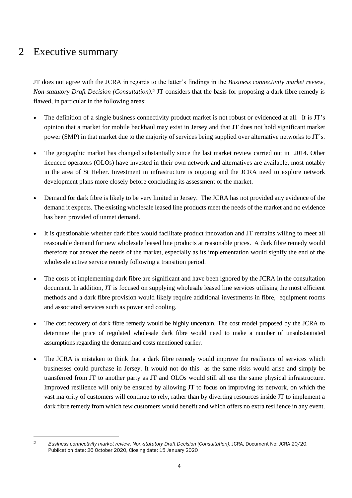# <span id="page-3-0"></span>2 Executive summary

JT does not agree with the JCRA in regards to the latter's findings in the *Business connectivity market review, Non-statutory Draft Decision (Consultation)*. <sup>2</sup> JT considers that the basis for proposing a dark fibre remedy is flawed, in particular in the following areas:

- The definition of a single business connectivity product market is not robust or evidenced at all. It is JT's opinion that a market for mobile backhaul may exist in Jersey and that JT does not hold significant market power (SMP) in that market due to the majority of services being supplied over alternative networks to JT's.
- The geographic market has changed substantially since the last market review carried out in 2014. Other licenced operators (OLOs) have invested in their own network and alternatives are available, most notably in the area of St Helier. Investment in infrastructure is ongoing and the JCRA need to explore network development plans more closely before concluding its assessment of the market.
- Demand for dark fibre is likely to be very limited in Jersey. The JCRA has not provided any evidence of the demand it expects. The existing wholesale leased line products meet the needs of the market and no evidence has been provided of unmet demand.
- It is questionable whether dark fibre would facilitate product innovation and JT remains willing to meet all reasonable demand for new wholesale leased line products at reasonable prices. A dark fibre remedy would therefore not answer the needs of the market, especially as its implementation would signify the end of the wholesale active service remedy following a transition period.
- The costs of implementing dark fibre are significant and have been ignored by the JCRA in the consultation document. In addition, JT is focused on supplying wholesale leased line services utilising the most efficient methods and a dark fibre provision would likely require additional investments in fibre, equipment rooms and associated services such as power and cooling.
- The cost recovery of dark fibre remedy would be highly uncertain. The cost model proposed by the JCRA to determine the price of regulated wholesale dark fibre would need to make a number of unsubstantiated assumptions regarding the demand and costs mentioned earlier.
- The JCRA is mistaken to think that a dark fibre remedy would improve the resilience of services which businesses could purchase in Jersey. It would not do this as the same risks would arise and simply be transferred from JT to another party as JT and OLOs would still all use the same physical infrastructure. Improved resilience will only be ensured by allowing JT to focus on improving its network, on which the vast majority of customers will continue to rely, rather than by diverting resources inside JT to implement a dark fibre remedy from which few customers would benefit and which offers no extra resilience in any event.

<sup>1</sup> 

<sup>2</sup> *Business connectivity market review, Non-statutory Draft Decision (Consultation)*, JCRA, Document No: JCRA 20/20, Publication date: 26 October 2020, Closing date: 15 January 2020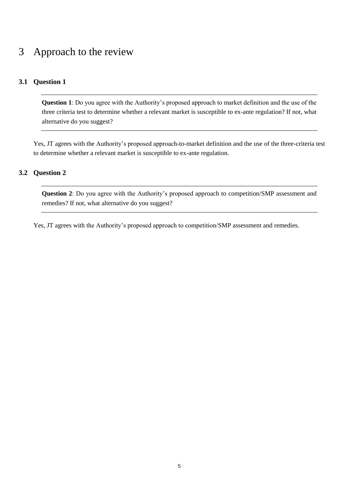# <span id="page-4-0"></span>3 Approach to the review

## **3.1 Question 1**

**Question 1**: Do you agree with the Authority's proposed approach to market definition and the use of the three criteria test to determine whether a relevant market is susceptible to ex-ante regulation? If not, what alternative do you suggest?

Yes, JT agrees with the Authority's proposed approach-to-market definition and the use of the three-criteria test to determine whether a relevant market is susceptible to ex-ante regulation.

### **3.2 Question 2**

**Question 2**: Do you agree with the Authority's proposed approach to competition/SMP assessment and remedies? If not, what alternative do you suggest?

Yes, JT agrees with the Authority's proposed approach to competition/SMP assessment and remedies.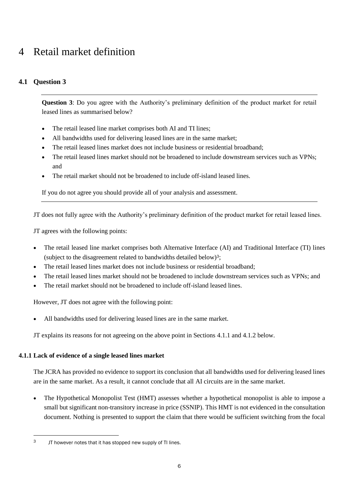# <span id="page-5-0"></span>4 Retail market definition

# <span id="page-5-2"></span>**4.1 Question 3**

**Question 3**: Do you agree with the Authority's preliminary definition of the product market for retail leased lines as summarised below?

- The retail leased line market comprises both AI and TI lines;
- All bandwidths used for delivering leased lines are in the same market;
- The retail leased lines market does not include business or residential broadband;
- The retail leased lines market should not be broadened to include downstream services such as VPNs; and
- The retail market should not be broadened to include off-island leased lines.

If you do not agree you should provide all of your analysis and assessment.

JT does not fully agree with the Authority's preliminary definition of the product market for retail leased lines.

JT agrees with the following points:

- The retail leased line market comprises both Alternative Interface (AI) and Traditional Interface (TI) lines (subject to the disagreement related to bandwidths detailed below)3;
- The retail leased lines market does not include business or residential broadband;
- The retail leased lines market should not be broadened to include downstream services such as VPNs: and
- The retail market should not be broadened to include off-island leased lines.

However, JT does not agree with the following point:

All bandwidths used for delivering leased lines are in the same market.

JT explains its reasons for not agreeing on the above point in Sections [4.1.1](#page-5-1) and [4.1.2](#page-7-0) below.

### <span id="page-5-1"></span>**4.1.1 Lack of evidence of a single leased lines market**

-

The JCRA has provided no evidence to support its conclusion that all bandwidths used for delivering leased lines are in the same market. As a result, it cannot conclude that all AI circuits are in the same market.

• The Hypothetical Monopolist Test (HMT) assesses whether a hypothetical monopolist is able to impose a small but significant non-transitory increase in price (SSNIP). This HMT is not evidenced in the consultation document. Nothing is presented to support the claim that there would be sufficient switching from the focal

<sup>3</sup> JT however notes that it has stopped new supply of TI lines.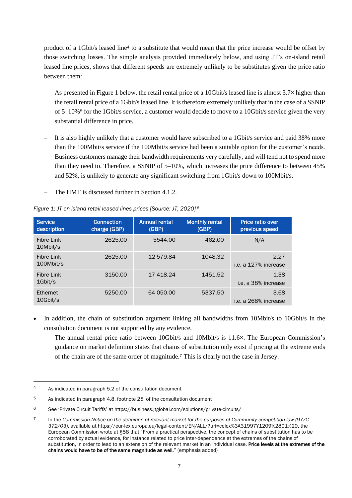product of a 1Gbit/s leased line<sup>4</sup> to a substitute that would mean that the price increase would be offset by those switching losses. The simple analysis provided immediately below, and using JT's on-island retail leased line prices, shows that different speeds are extremely unlikely to be substitutes given the price ratio between them:

- As presented in [Figure 1](#page-6-0) below, the retail rental price of a 10Gbit/s leased line is almost 3.7× higher than the retail rental price of a 1Gbit/s leased line. It is therefore extremely unlikely that in the case of a SSNIP of 5–10%<sup>5</sup> for the 1Gbit/s service, a customer would decide to move to a 10Gbit/s service given the very substantial difference in price.
- It is also highly unlikely that a customer would have subscribed to a 1Gbit/s service and paid 38% more than the 100Mbit/s service if the 100Mbit/s service had been a suitable option for the customer's needs. Business customers manage their bandwidth requirements very carefully, and will tend not to spend more than they need to. Therefore, a SSNIP of 5–10%, which increases the price difference to between 45% and 52%, is unlikely to generate any significant switching from 1Gbit/s down to 100Mbit/s.
- The HMT is discussed further in Section [4.1.2.](#page-7-0)

| <b>Service</b><br>description | <b>Connection</b><br>charge (GBP) | <b>Annual rental</b><br>(GBP) | <b>Monthly rental</b><br>(GBP) | Price ratio over<br>previous speed |
|-------------------------------|-----------------------------------|-------------------------------|--------------------------------|------------------------------------|
| Fibre Link<br>10Mbit/s        | 2625.00                           | 5544.00                       | 462.00                         | N/A                                |
| Fibre Link<br>100Mbit/s       | 2625.00                           | 12 579.84                     | 1048.32                        | 2.27<br>i.e. a 127% increase       |
| Fibre Link<br>$1$ Gbit/s      | 3150.00                           | 17 4 18.24                    | 1451.52                        | 1.38<br>i.e. a 38% increase        |
| Ethernet<br>10Gbit/s          | 5250.00                           | 64 050,00                     | 5337.50                        | 3.68<br>i.e. a 268% increase       |

### <span id="page-6-0"></span>*Figure 1: JT on-island retail leased lines prices [Source: JT, 2020] <sup>6</sup>*

- In addition, the chain of substitution argument linking all bandwidths from 10Mbit/s to 10Gbit/s in the consultation document is not supported by any evidence.
	- The annual rental price ratio between 10Gbit/s and 10Mbit/s is 11.6×. The European Commission's guidance on market definition states that chains of substitution only exist if pricing at the extreme ends of the chain are of the same order of magnitude.<sup>7</sup> This is clearly not the case in Jersey.

-

<sup>4</sup> As indicated in paragraph 5.2 of the consultation document

<sup>5</sup> As indicated in paragraph 4.8, footnote 25, of the consultation document

<sup>6</sup> See 'Private Circuit Tariffs' at <https://business.jtglobal.com/solutions/private-circuits/>

<sup>7</sup> In the *Commission Notice on the definition of relevant market for the purposes of Community competition law (97/C 372/03)*, available a[t https://eur-lex.europa.eu/legal-content/EN/ALL/?uri=celex%3A31997Y1209%2801%29,](https://eur-lex.europa.eu/legal-content/EN/ALL/?uri=celex%3A31997Y1209%2801%29) the European Commission wrote at §58 that "From a practical perspective, the concept of chains of substitution has to be corroborated by actual evidence, for instance related to price inter-dependence at the extremes of the chains of substitution, in order to lead to an extension of the relevant market in an individual case. Price levels at the extremes of the chains would have to be of the same magnitude as well." (emphasis added)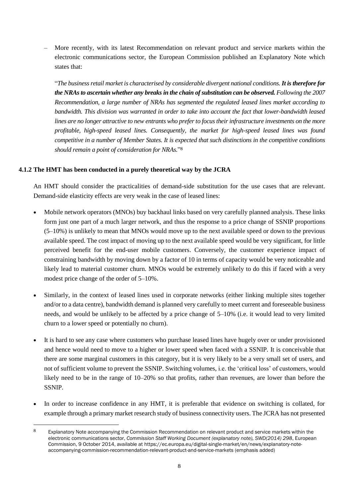– More recently, with its latest Recommendation on relevant product and service markets within the electronic communications sector, the European Commission published an Explanatory Note which states that:

"*The business retail market is characterised by considerable divergent national conditions. It is therefore for the NRAs to ascertain whether any breaks in the chain of substitution can be observed. Following the 2007 Recommendation, a large number of NRAs has segmented the regulated leased lines market according to bandwidth. This division was warranted in order to take into account the fact that lower-bandwidth leased lines are no longer attractive to new entrants who prefer to focus their infrastructure investments on the more profitable, high-speed leased lines. Consequently, the market for high-speed leased lines was found competitive in a number of Member States. It is expected that such distinctions in the competitive conditions should remain a point of consideration for NRAs.*" 8

### <span id="page-7-0"></span>**4.1.2 The HMT has been conducted in a purely theoretical way by the JCRA**

1

An HMT should consider the practicalities of demand-side substitution for the use cases that are relevant. Demand-side elasticity effects are very weak in the case of leased lines:

- Mobile network operators (MNOs) buy backhaul links based on very carefully planned analysis. These links form just one part of a much larger network, and thus the response to a price change of SSNIP proportions (5–10%) is unlikely to mean that MNOs would move up to the next available speed or down to the previous available speed. The cost impact of moving up to the next available speed would be very significant, for little perceived benefit for the end-user mobile customers. Conversely, the customer experience impact of constraining bandwidth by moving down by a factor of 10 in terms of capacity would be very noticeable and likely lead to material customer churn. MNOs would be extremely unlikely to do this if faced with a very modest price change of the order of 5–10%.
- Similarly, in the context of leased lines used in corporate networks (either linking multiple sites together and/or to a data centre), bandwidth demand is planned very carefully to meet current and foreseeable business needs, and would be unlikely to be affected by a price change of 5–10% (i.e. it would lead to very limited churn to a lower speed or potentially no churn).
- It is hard to see any case where customers who purchase leased lines have hugely over or under provisioned and hence would need to move to a higher or lower speed when faced with a SSNIP. It is conceivable that there are some marginal customers in this category, but it is very likely to be a very small set of users, and not of sufficient volume to prevent the SSNIP. Switching volumes, i.e. the 'critical loss' of customers, would likely need to be in the range of 10–20% so that profits, rather than revenues, are lower than before the SSNIP.
- In order to increase confidence in any HMT, it is preferable that evidence on switching is collated, for example through a primary market research study of business connectivity users. The JCRA has not presented

<sup>8</sup> Explanatory Note accompanying the Commission Recommendation on relevant product and service markets within the electronic communications sector, *Commission Staff Working Document (explanatory note), SWD(2014) 298*, European Commission, 9 October 2014, available at [https://ec.europa.eu/digital-single-market/en/news/explanatory-note](https://ec.europa.eu/digital-single-market/en/news/explanatory-note-accompanying-commission-recommendation-relevant-product-and-service-markets)[accompanying-commission-recommendation-relevant-product-and-service-markets](https://ec.europa.eu/digital-single-market/en/news/explanatory-note-accompanying-commission-recommendation-relevant-product-and-service-markets) (emphasis added)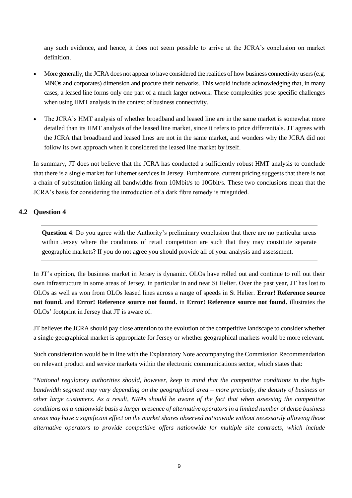any such evidence, and hence, it does not seem possible to arrive at the JCRA's conclusion on market definition.

- More generally, the JCRA does not appear to have considered the realities of how business connectivity users (e.g. MNOs and corporates) dimension and procure their networks. This would include acknowledging that, in many cases, a leased line forms only one part of a much larger network. These complexities pose specific challenges when using HMT analysis in the context of business connectivity.
- The JCRA's HMT analysis of whether broadband and leased line are in the same market is somewhat more detailed than its HMT analysis of the leased line market, since it refers to price differentials. JT agrees with the JCRA that broadband and leased lines are not in the same market, and wonders why the JCRA did not follow its own approach when it considered the leased line market by itself.

In summary, JT does not believe that the JCRA has conducted a sufficiently robust HMT analysis to conclude that there is a single market for Ethernet services in Jersey. Furthermore, current pricing suggests that there is not a chain of substitution linking all bandwidths from 10Mbit/s to 10Gbit/s. These two conclusions mean that the JCRA's basis for considering the introduction of a dark fibre remedy is misguided.

### <span id="page-8-0"></span>**4.2 Question 4**

**Question 4**: Do you agree with the Authority's preliminary conclusion that there are no particular areas within Jersey where the conditions of retail competition are such that they may constitute separate geographic markets? If you do not agree you should provide all of your analysis and assessment.

In JT's opinion, the business market in Jersey is dynamic. OLOs have rolled out and continue to roll out their own infrastructure in some areas of Jersey, in particular in and near St Helier. Over the past year, JT has lost to OLOs as well as won from OLOs leased lines across a range of speeds in St Helier. **Error! Reference source not found.** and **Error! Reference source not found.** in **Error! Reference source not found.** illustrates the OLOs' footprint in Jersey that JT is aware of.

JT believes the JCRA should pay close attention to the evolution of the competitive landscape to consider whether a single geographical market is appropriate for Jersey or whether geographical markets would be more relevant.

Such consideration would be in line with the Explanatory Note accompanying the Commission Recommendation on relevant product and service markets within the electronic communications sector, which states that:

"*National regulatory authorities should, however, keep in mind that the competitive conditions in the highbandwidth segment may vary depending on the geographical area – more precisely, the density of business or other large customers. As a result, NRAs should be aware of the fact that when assessing the competitive conditions on a nationwide basis a larger presence of alternative operators in a limited number of dense business areas may have a significant effect on the market shares observed nationwide without necessarily allowing those alternative operators to provide competitive offers nationwide for multiple site contracts, which include*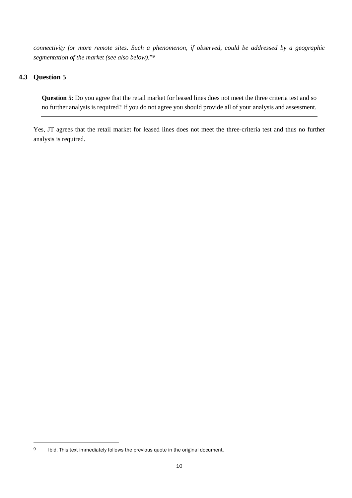*connectivity for more remote sites. Such a phenomenon, if observed, could be addressed by a geographic segmentation of the market (see also below).*" 9

## **4.3 Question 5**

-

**Question 5**: Do you agree that the retail market for leased lines does not meet the three criteria test and so no further analysis is required? If you do not agree you should provide all of your analysis and assessment.

Yes, JT agrees that the retail market for leased lines does not meet the three-criteria test and thus no further analysis is required.

<sup>9</sup> Ibid. This text immediately follows the previous quote in the original document.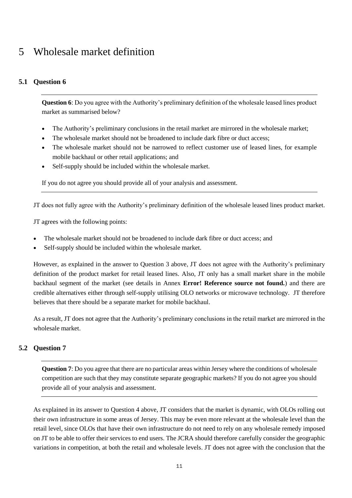# <span id="page-10-0"></span>5 Wholesale market definition

## <span id="page-10-1"></span>**5.1 Question 6**

**Question 6**: Do you agree with the Authority's preliminary definition of the wholesale leased lines product market as summarised below?

- The Authority's preliminary conclusions in the retail market are mirrored in the wholesale market;
- The wholesale market should not be broadened to include dark fibre or duct access;
- The wholesale market should not be narrowed to reflect customer use of leased lines, for example mobile backhaul or other retail applications; and
- Self-supply should be included within the wholesale market.

If you do not agree you should provide all of your analysis and assessment.

JT does not fully agree with the Authority's preliminary definition of the wholesale leased lines product market.

JT agrees with the following points:

- The wholesale market should not be broadened to include dark fibre or duct access; and
- Self-supply should be included within the wholesale market.

However, as explained in the answer to Question 3 above, JT does not agree with the Authority's preliminary definition of the product market for retail leased lines. Also, JT only has a small market share in the mobile backhaul segment of the market (see details in Annex **Error! Reference source not found.**) and there are credible alternatives either through self-supply utilising OLO networks or microwave technology. JT therefore believes that there should be a separate market for mobile backhaul.

As a result, JT does not agree that the Authority's preliminary conclusions in the retail market are mirrored in the wholesale market.

### <span id="page-10-2"></span>**5.2 Question 7**

**Question 7**: Do you agree that there are no particular areas within Jersey where the conditions of wholesale competition are such that they may constitute separate geographic markets? If you do not agree you should provide all of your analysis and assessment.

As explained in its answer to Question 4 above, JT considers that the market is dynamic, with OLOs rolling out their own infrastructure in some areas of Jersey. This may be even more relevant at the wholesale level than the retail level, since OLOs that have their own infrastructure do not need to rely on any wholesale remedy imposed on JT to be able to offer their services to end users. The JCRA should therefore carefully consider the geographic variations in competition, at both the retail and wholesale levels. JT does not agree with the conclusion that the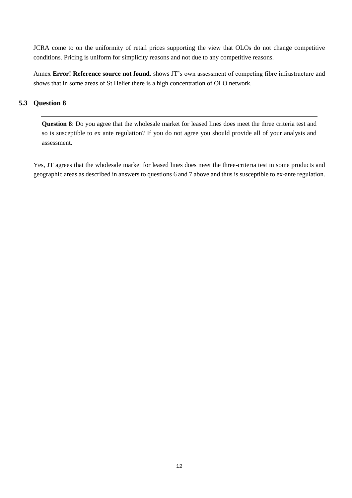JCRA come to on the uniformity of retail prices supporting the view that OLOs do not change competitive conditions. Pricing is uniform for simplicity reasons and not due to any competitive reasons.

Annex **Error! Reference source not found.** shows JT's own assessment of competing fibre infrastructure and shows that in some areas of St Helier there is a high concentration of OLO network.

## **5.3 Question 8**

**Question 8**: Do you agree that the wholesale market for leased lines does meet the three criteria test and so is susceptible to ex ante regulation? If you do not agree you should provide all of your analysis and assessment.

Yes, JT agrees that the wholesale market for leased lines does meet the three-criteria test in some products and geographic areas as described in answers to questions 6 and 7 above and thus is susceptible to ex-ante regulation.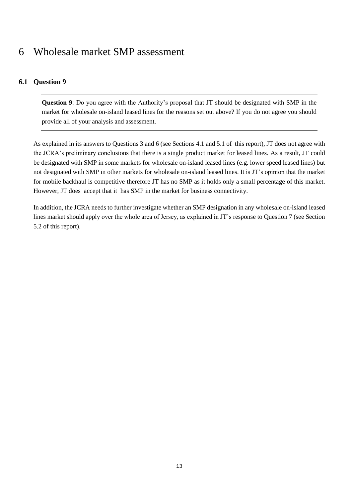# <span id="page-12-0"></span>6 Wholesale market SMP assessment

## **6.1 Question 9**

**Question 9**: Do you agree with the Authority's proposal that JT should be designated with SMP in the market for wholesale on-island leased lines for the reasons set out above? If you do not agree you should provide all of your analysis and assessment.

As explained in its answers to Questions 3 and 6 (see Section[s 4.1](#page-5-2) an[d 5.1](#page-10-1) of this report), JT does not agree with the JCRA's preliminary conclusions that there is a single product market for leased lines. As a result, JT could be designated with SMP in some markets for wholesale on-island leased lines (e.g. lower speed leased lines) but not designated with SMP in other markets for wholesale on-island leased lines. It is JT's opinion that the market for mobile backhaul is competitive therefore JT has no SMP as it holds only a small percentage of this market. However, JT does accept that it has SMP in the market for business connectivity.

In addition, the JCRA needs to further investigate whether an SMP designation in any wholesale on-island leased lines market should apply over the whole area of Jersey, as explained in JT's response to Question 7 (see Section [5.2](#page-10-2) of this report).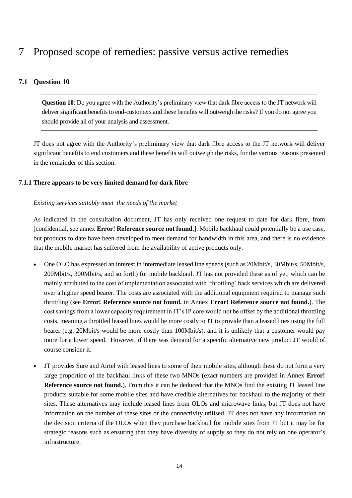# <span id="page-13-0"></span>7 Proposed scope of remedies: passive versus active remedies

## <span id="page-13-2"></span>**7.1 Question 10**

**Question 10**: Do you agree with the Authority's preliminary view that dark fibre access to the JT network will deliver significant benefits to end-customers and these benefits will outweigh the risks? If you do not agree you should provide all of your analysis and assessment.

JT does not agree with the Authority's preliminary view that dark fibre access to the JT network will deliver significant benefits to end customers and these benefits will outweigh the risks, for the various reasons presented in the remainder of this section.

#### <span id="page-13-1"></span>**7.1.1 There appears to be very limited demand for dark fibre**

#### *Existing services suitably meet the needs of the market*

As indicated in the consultation document, JT has only received one request to date for dark fibre, from [confidential, see annex **Error! Reference source not found.**]. Mobile backhaul could potentially be a use case, but products to date have been developed to meet demand for bandwidth in this area, and there is no evidence that the mobile market has suffered from the availability of active products only.

- One OLO has expressed an interest in intermediate leased line speeds (such as 20Mbit/s, 30Mbit/s, 50Mbit/s, 200Mbit/s, 300Mbit/s, and so forth) for mobile backhaul. JT has not provided these as of yet, which can be mainly attributed to the cost of implementation associated with 'throttling' back services which are delivered over a higher speed bearer. The costs are associated with the additional equipment required to manage such throttling (see **Error! Reference source not found.** in Annex **Error! Reference source not found.**). The cost savings from a lower capacity requirement in JT's IP core would not be offset by the additional throttling costs, meaning a throttled leased lines would be more costly to JT to provide than a leased lines using the full bearer (e.g. 20Mbit/s would be more costly than 100Mbit/s), and it is unlikely that a customer would pay more for a lower speed. However, if there was demand for a specific alternative new product JT would of course consider it.
- JT provides Sure and Airtel with leased lines to some of their mobile sites, although these do not form a very large proportion of the backhaul links of these two MNOs (exact numbers are provided in Annex **Error! Reference source not found.**). From this it can be deduced that the MNOs find the existing JT leased line products suitable for some mobile sites and have credible alternatives for backhaul to the majority of their sites. These alternatives may include leased lines from OLOs and microwave links, but JT does not have information on the number of these sites or the connectivity utilised. JT does not have any information on the decision criteria of the OLOs when they purchase backhaul for mobile sites from JT but it may be for strategic reasons such as ensuring that they have diversity of supply so they do not rely on one operator's infrastructure.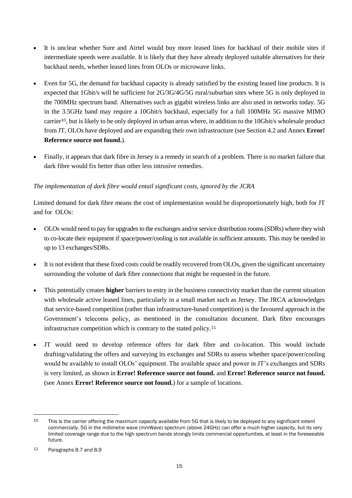- It is unclear whether Sure and Airtel would buy more leased lines for backhaul of their mobile sites if intermediate speeds were available. It is likely that they have already deployed suitable alternatives for their backhaul needs, whether leased lines from OLOs or microwave links.
- Even for 5G, the demand for backhaul capacity is already satisfied by the existing leased line products. It is expected that 1Gbit/s will be sufficient for 2G/3G/4G/5G rural/suburban sites where 5G is only deployed in the 700MHz spectrum band. Alternatives such as gigabit wireless links are also used in networks today. 5G in the 3.5GHz band may require a 10Gbit/s backhaul, especially for a full 100MHz 5G massive MIMO carrier10, but is likely to be only deployed in urban areas where, in addition to the 10Gbit/s wholesale product from JT, OLOs have deployed and are expanding their own infrastructure (see Section [4.2](#page-8-0) and Annex **Error! Reference source not found.**).
- Finally, it appears that dark fibre in Jersey is a remedy in search of a problem. There is no market failure that dark fibre would fix better than other less intrusive remedies.

### *The implementation of dark fibre would entail significant costs, ignored by the JCRA*

Limited demand for dark fibre means the cost of implementation would be disproportionately high, both for JT and for OLOs:

- OLOs would need to pay for upgrades to the exchanges and/or service distribution rooms(SDRs) where they wish to co-locate their equipment if space/power/cooling is not available in sufficient amounts. This may be needed in up to 13 exchanges/SDRs.
- It is not evident that these fixed costs could be readily recovered from OLOs, given the significant uncertainty surrounding the volume of dark fibre connections that might be requested in the future.
- This potentially creates **higher** barriers to entry in the business connectivity market than the current situation with wholesale active leased lines, particularly in a small market such as Jersey. The JRCA acknowledges that service-based competition (rather than infrastructure-based competition) is the favoured approach in the Government's telecoms policy, as mentioned in the consultation document. Dark fibre encourages infrastructure competition which is contrary to the stated policy.<sup>11</sup>
- JT would need to develop reference offers for dark fibre and co-location. This would include drafting/validating the offers and surveying its exchanges and SDRs to assess whether space/power/cooling would be available to install OLOs' equipment. The available space and power in JT's exchanges and SDRs is very limited, as shown in **Error! Reference source not found.** and **Error! Reference source not found.** (see Annex **Error! Reference source not found.**) for a sample of locations.

1

<sup>&</sup>lt;sup>10</sup> This is the carrier offering the maximum capacity available from 5G that is likely to be deployed to any significant extent commercially. 5G in the millimetre wave (mmWave) spectrum (above 24GHz) can offer a much higher capacity, but its very limited coverage range due to the high spectrum bands strongly limits commercial opportunities, at least in the foreseeable future.

<sup>11</sup> Paragraphs 8.7 and 8.9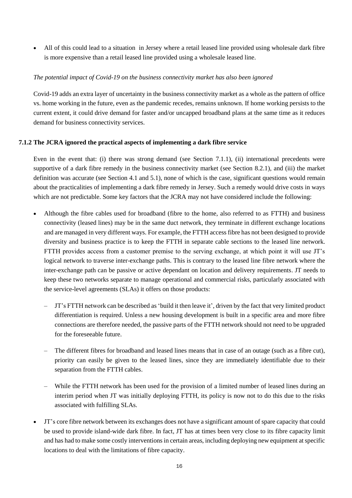• All of this could lead to a situation in Jersey where a retail leased line provided using wholesale dark fibre is more expensive than a retail leased line provided using a wholesale leased line.

#### *The potential impact of Covid-19 on the business connectivity market has also been ignored*

Covid-19 adds an extra layer of uncertainty in the business connectivity market as a whole as the pattern of office vs. home working in the future, even as the pandemic recedes, remains unknown. If home working persists to the current extent, it could drive demand for faster and/or uncapped broadband plans at the same time as it reduces demand for business connectivity services.

#### <span id="page-15-0"></span>**7.1.2 The JCRA ignored the practical aspects of implementing a dark fibre service**

Even in the event that: (i) there was strong demand (see Section [7.1.1\)](#page-13-1), (ii) international precedents were supportive of a dark fibre remedy in the business connectivity market (see Section [8.2.1\)](#page-19-1), and (iii) the market definition was accurate (see Section [4.1](#page-5-2) and [5.1\)](#page-10-1), none of which is the case, significant questions would remain about the practicalities of implementing a dark fibre remedy in Jersey. Such a remedy would drive costs in ways which are not predictable. Some key factors that the JCRA may not have considered include the following:

- Although the fibre cables used for broadband (fibre to the home, also referred to as FTTH) and business connectivity (leased lines) may be in the same duct network, they terminate in different exchange locations and are managed in very different ways. For example, the FTTH access fibre has not been designed to provide diversity and business practice is to keep the FTTH in separate cable sections to the leased line network. FTTH provides access from a customer premise to the serving exchange, at which point it will use JT's logical network to traverse inter-exchange paths. This is contrary to the leased line fibre network where the inter-exchange path can be passive or active dependant on location and delivery requirements. JT needs to keep these two networks separate to manage operational and commercial risks, particularly associated with the service-level agreements (SLAs) it offers on those products:
	- JT's FTTH network can be described as 'build it then leave it', driven by the fact that very limited product differentiation is required. Unless a new housing development is built in a specific area and more fibre connections are therefore needed, the passive parts of the FTTH network should not need to be upgraded for the foreseeable future.
	- The different fibres for broadband and leased lines means that in case of an outage (such as a fibre cut), priority can easily be given to the leased lines, since they are immediately identifiable due to their separation from the FTTH cables.
	- While the FTTH network has been used for the provision of a limited number of leased lines during an interim period when JT was initially deploying FTTH, its policy is now not to do this due to the risks associated with fulfilling SLAs.
- JT's core fibre network between its exchanges does not have a significant amount of spare capacity that could be used to provide island-wide dark fibre. In fact, JT has at times been very close to its fibre capacity limit and has had to make some costly interventions in certain areas, including deploying new equipment at specific locations to deal with the limitations of fibre capacity.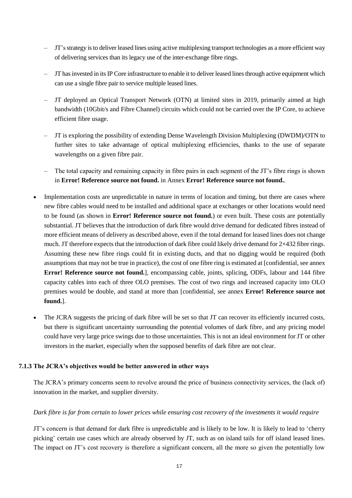- JT'sstrategy isto deliver leased lines using active multiplexing transport technologies as a more efficient way of delivering services than its legacy use of the inter-exchange fibre rings.
- JT has invested in its IP Core infrastructure to enable it to deliver leased lines through active equipment which can use a single fibre pair to service multiple leased lines.
- JT deployed an Optical Transport Network (OTN) at limited sites in 2019, primarily aimed at high bandwidth (10Gbit/s and Fibre Channel) circuits which could not be carried over the IP Core, to achieve efficient fibre usage.
- JT is exploring the possibility of extending Dense Wavelength Division Multiplexing (DWDM)/OTN to further sites to take advantage of optical multiplexing efficiencies, thanks to the use of separate wavelengths on a given fibre pair.
- The total capacity and remaining capacity in fibre pairs in each segment of the JT's fibre rings is shown in **Error! Reference source not found.** in Annex **Error! Reference source not found.**.
- Implementation costs are unpredictable in nature in terms of location and timing, but there are cases where new fibre cables would need to be installed and additional space at exchanges or other locations would need to be found (as shown in **Error! Reference source not found.**) or even built. These costs are potentially substantial. JT believes that the introduction of dark fibre would drive demand for dedicated fibres instead of more efficient means of delivery as described above, even if the total demand for leased lines does not change much. JT therefore expects that the introduction of dark fibre could likely drive demand for 2×432 fibre rings. Assuming these new fibre rings could fit in existing ducts, and that no digging would be required (both assumptions that may not be true in practice), the cost of one fibre ring is estimated at [confidential, see annex **Error! Reference source not found.**], encompassing cable, joints, splicing, ODFs, labour and 144 fibre capacity cables into each of three OLO premises. The cost of two rings and increased capacity into OLO premises would be double, and stand at more than [confidential, see annex **Error! Reference source not found.**].
- The JCRA suggests the pricing of dark fibre will be set so that JT can recover its efficiently incurred costs, but there is significant uncertainty surrounding the potential volumes of dark fibre, and any pricing model could have very large price swings due to those uncertainties. This is not an ideal environment for JT or other investors in the market, especially when the supposed benefits of dark fibre are not clear.

### **7.1.3 The JCRA's objectives would be better answered in other ways**

The JCRA's primary concerns seem to revolve around the price of business connectivity services, the (lack of) innovation in the market, and supplier diversity.

### *Dark fibre is far from certain to lower prices while ensuring cost recovery of the investments it would require*

JT's concern is that demand for dark fibre is unpredictable and is likely to be low. It is likely to lead to 'cherry picking' certain use cases which are already observed by JT, such as on island tails for off island leased lines. The impact on JT's cost recovery is therefore a significant concern, all the more so given the potentially low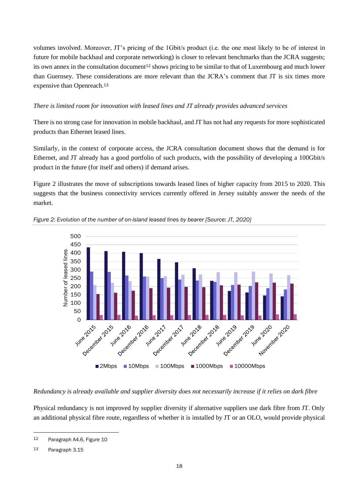volumes involved. Moreover, JT's pricing of the 1Gbit/s product (i.e. the one most likely to be of interest in future for mobile backhaul and corporate networking) is closer to relevant benchmarks than the JCRA suggests; its own annex in the consultation document<sup>12</sup> shows pricing to be similar to that of Luxembourg and much lower than Guernsey. These considerations are more relevant than the JCRA's comment that JT is six times more expensive than Openreach.<sup>13</sup>

#### *There is limited room for innovation with leased lines and JT already provides advanced services*

There is no strong case for innovation in mobile backhaul, and JT has not had any requests for more sophisticated products than Ethernet leased lines.

Similarly, in the context of corporate access, the JCRA consultation document shows that the demand is for Ethernet, and JT already has a good portfolio of such products, with the possibility of developing a 100Gbit/s product in the future (for itself and others) if demand arises.

[Figure 2](#page-17-0) illustrates the move of subscriptions towards leased lines of higher capacity from 2015 to 2020. This suggests that the business connectivity services currently offered in Jersey suitably answer the needs of the market.



<span id="page-17-0"></span>*Figure 2: Evolution of the number of on-island leased lines by bearer [Source: JT, 2020]*

#### *Redundancy is already available and supplier diversity does not necessarily increase if it relies on dark fibre*

Physical redundancy is not improved by supplier diversity if alternative suppliers use dark fibre from JT. Only an additional physical fibre route, regardless of whether it is installed by JT or an OLO, would provide physical

-

<sup>12</sup> Paragraph A4.6, Figure 10

<sup>13</sup> Paragraph 3.15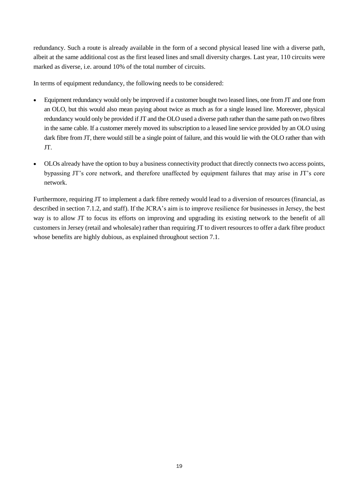redundancy. Such a route is already available in the form of a second physical leased line with a diverse path, albeit at the same additional cost as the first leased lines and small diversity charges. Last year, 110 circuits were marked as diverse, i.e. around 10% of the total number of circuits.

In terms of equipment redundancy, the following needs to be considered:

- Equipment redundancy would only be improved if a customer bought two leased lines, one from JT and one from an OLO, but this would also mean paying about twice as much as for a single leased line. Moreover, physical redundancy would only be provided if JT and the OLO used a diverse path rather than the same path on two fibres in the same cable. If a customer merely moved its subscription to a leased line service provided by an OLO using dark fibre from JT, there would still be a single point of failure, and this would lie with the OLO rather than with JT.
- OLOs already have the option to buy a business connectivity product that directly connects two access points, bypassing JT's core network, and therefore unaffected by equipment failures that may arise in JT's core network.

Furthermore, requiring JT to implement a dark fibre remedy would lead to a diversion of resources (financial, as described in section [7.1.2,](#page-15-0) and staff). If the JCRA's aim is to improve resilience for businesses in Jersey, the best way is to allow JT to focus its efforts on improving and upgrading its existing network to the benefit of all customers in Jersey (retail and wholesale) rather than requiring JT to divert resources to offer a dark fibre product whose benefits are highly dubious, as explained throughout section [7.1.](#page-13-2)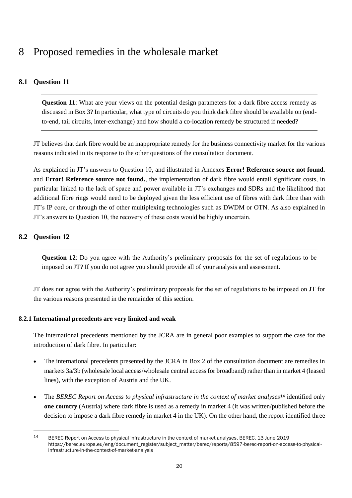# <span id="page-19-0"></span>8 Proposed remedies in the wholesale market

# **8.1 Question 11**

**Question 11:** What are your views on the potential design parameters for a dark fibre access remedy as discussed in Box 3? In particular, what type of circuits do you think dark fibre should be available on (endto-end, tail circuits, inter-exchange) and how should a co-location remedy be structured if needed?

JT believes that dark fibre would be an inappropriate remedy for the business connectivity market for the various reasons indicated in its response to the other questions of the consultation document.

As explained in JT's answers to Question 10, and illustrated in Annexes **Error! Reference source not found.** and **Error! Reference source not found.**, the implementation of dark fibre would entail significant costs, in particular linked to the lack of space and power available in JT's exchanges and SDRs and the likelihood that additional fibre rings would need to be deployed given the less efficient use of fibres with dark fibre than with JT's IP core, or through the of other multiplexing technologies such as DWDM or OTN. As also explained in JT's answers to Question 10, the recovery of these costs would be highly uncertain.

# **8.2 Question 12**

1

**Question 12**: Do you agree with the Authority's preliminary proposals for the set of regulations to be imposed on JT? If you do not agree you should provide all of your analysis and assessment.

JT does not agree with the Authority's preliminary proposals for the set of regulations to be imposed on JT for the various reasons presented in the remainder of this section.

### <span id="page-19-1"></span>**8.2.1 International precedents are very limited and weak**

The international precedents mentioned by the JCRA are in general poor examples to support the case for the introduction of dark fibre. In particular:

- The international precedents presented by the JCRA in Box 2 of the consultation document are remedies in markets 3a/3b (wholesale local access/wholesale central access for broadband) rather than in market 4 (leased lines), with the exception of Austria and the UK.
- The *BEREC Report on Access to physical infrastructure in the context of market analyses*<sup>14</sup> identified only **one country** (Austria) where dark fibre is used as a remedy in market 4 (it was written/published before the decision to impose a dark fibre remedy in market 4 in the UK). On the other hand, the report identified three

<sup>14</sup> BEREC Report on Access to physical infrastructure in the context of market analyses, BEREC, 13 June 2019 [https://berec.europa.eu/eng/document\\_register/subject\\_matter/berec/reports/8597-berec-report-on-access-to-physical](https://berec.europa.eu/eng/document_register/subject_matter/berec/reports/8597-berec-report-on-access-to-physical-infrastructure-in-the-context-of-market-analysis)[infrastructure-in-the-context-of-market-analysis](https://berec.europa.eu/eng/document_register/subject_matter/berec/reports/8597-berec-report-on-access-to-physical-infrastructure-in-the-context-of-market-analysis)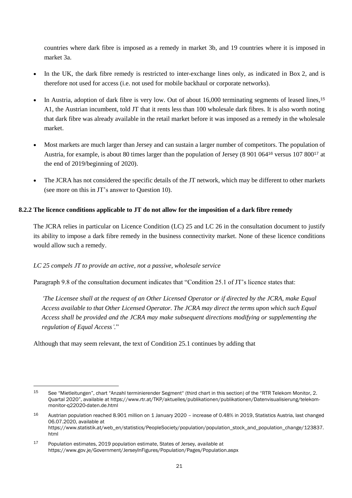countries where dark fibre is imposed as a remedy in market 3b, and 19 countries where it is imposed in market 3a.

- In the UK, the dark fibre remedy is restricted to inter-exchange lines only, as indicated in Box 2, and is therefore not used for access (i.e. not used for mobile backhaul or corporate networks).
- In Austria, adoption of dark fibre is very low. Out of about 16,000 terminating segments of leased lines, <sup>15</sup> A1, the Austrian incumbent, told JT that it rents less than 100 wholesale dark fibres. It is also worth noting that dark fibre was already available in the retail market before it was imposed as a remedy in the wholesale market.
- Most markets are much larger than Jersey and can sustain a larger number of competitors. The population of Austria, for example, is about 80 times larger than the population of Jersey (8 901 064<sup>16</sup> versus 107 800<sup>17</sup> at the end of 2019/beginning of 2020).
- The JCRA has not considered the specific details of the JT network, which may be different to other markets (see more on this in JT's answer to Question 10).

### **8.2.2 The licence conditions applicable to JT do not allow for the imposition of a dark fibre remedy**

The JCRA relies in particular on Licence Condition (LC) 25 and LC 26 in the consultation document to justify its ability to impose a dark fibre remedy in the business connectivity market. None of these licence conditions would allow such a remedy.

#### *LC 25 compels JT to provide an active, not a passive, wholesale service*

Paragraph 9.8 of the consultation document indicates that "Condition 25.1 of JT's licence states that:

*'The Licensee shall at the request of an Other Licensed Operator or if directed by the JCRA, make Equal Access available to that Other Licensed Operator. The JCRA may direct the terms upon which such Equal Access shall be provided and the JCRA may make subsequent directions modifying or supplementing the regulation of Equal Access'.*"

Although that may seem relevant, the text of Condition 25.1 continues by adding that

<u>.</u>

<sup>15</sup> See "Mietleitungen", chart "Anzahl terminierender Segment" (third chart in this section) of the "RTR Telekom Monitor, 2. Quartal 2020", available at [https://www.rtr.at/TKP/aktuelles/publikationen/publikationen/Datenvisualisierung/telekom](https://www.rtr.at/TKP/aktuelles/publikationen/publikationen/Datenvisualisierung/telekom-monitor-q22020-daten.de.html)[monitor-q22020-daten.de.html](https://www.rtr.at/TKP/aktuelles/publikationen/publikationen/Datenvisualisierung/telekom-monitor-q22020-daten.de.html)

<sup>16</sup> Austrian population reached 8.901 million on 1 January 2020 – increase of 0.48% in 2019, Statistics Austria, last changed 06.07.2020, available at [https://www.statistik.at/web\\_en/statistics/PeopleSociety/population/population\\_stock\\_and\\_population\\_change/123837.](https://www.statistik.at/web_en/statistics/PeopleSociety/population/population_stock_and_population_change/123837.html) [html](https://www.statistik.at/web_en/statistics/PeopleSociety/population/population_stock_and_population_change/123837.html)

<sup>17</sup> Population estimates, 2019 population estimate, States of Jersey, available at <https://www.gov.je/Government/JerseyInFigures/Population/Pages/Population.aspx>